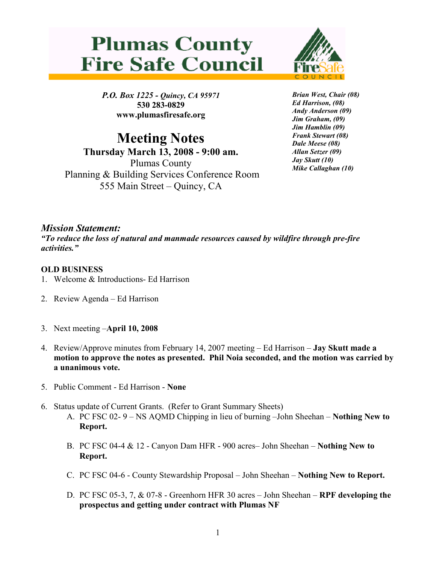## **Plumas County Fire Safe Council**



P.O. Box 1225 - Quincy, CA 95971 530 283-0829 www.plumasfiresafe.org

Meeting Notes Thursday March 13, 2008 - 9:00 am. Plumas County Planning & Building Services Conference Room 555 Main Street – Quincy, CA

Brian West, Chair (08) Ed Harrison, (08) Andy Anderson (09) Jim Graham, (09) Jim Hamblin (09) Frank Stewart (08) Dale Meese (08) Allan Setzer (09) Jay Skutt (10) Mike Callaghan (10)

## Mission Statement:

"To reduce the loss of natural and manmade resources caused by wildfire through pre-fire activities."

## OLD BUSINESS

- 1. Welcome & Introductions- Ed Harrison
- 2. Review Agenda Ed Harrison
- 3. Next meeting –April 10, 2008
- 4. Review/Approve minutes from February 14, 2007 meeting Ed Harrison Jay Skutt made a motion to approve the notes as presented. Phil Noia seconded, and the motion was carried by a unanimous vote.
- 5. Public Comment Ed Harrison None
- 6. Status update of Current Grants. (Refer to Grant Summary Sheets) A. PC FSC 02- 9 – NS AQMD Chipping in lieu of burning –John Sheehan – Nothing New to Report.
	- B. PC FSC 04-4 & 12 Canyon Dam HFR 900 acres– John Sheehan Nothing New to Report.
	- C. PC FSC 04-6 County Stewardship Proposal John Sheehan Nothing New to Report.
	- D. PC FSC 05-3, 7, & 07-8 Greenhorn HFR 30 acres John Sheehan RPF developing the prospectus and getting under contract with Plumas NF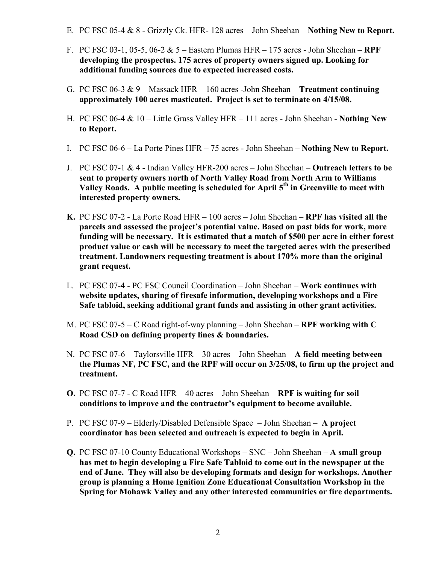- E. PC FSC 05-4 & 8 Grizzly Ck. HFR- 128 acres John Sheehan Nothing New to Report.
- F. PC FSC 03-1, 05-5, 06-2 & 5 Eastern Plumas HFR 175 acres John Sheehan RPF developing the prospectus. 175 acres of property owners signed up. Looking for additional funding sources due to expected increased costs.
- G. PC FSC 06-3  $& 9$  Massack HFR 160 acres -John Sheehan Treatment continuing approximately 100 acres masticated. Project is set to terminate on 4/15/08.
- H. PC FSC 06-4 & 10 Little Grass Valley HFR 111 acres John Sheehan Nothing New to Report.
- I. PC FSC 06-6 La Porte Pines HFR 75 acres John Sheehan Nothing New to Report.
- J. PC FSC 07-1  $&$  4 Indian Valley HFR-200 acres John Sheehan Outreach letters to be sent to property owners north of North Valley Road from North Arm to Williams Valley Roads. A public meeting is scheduled for April 5<sup>th</sup> in Greenville to meet with interested property owners.
- K. PC FSC 07-2 La Porte Road HFR 100 acres John Sheehan RPF has visited all the parcels and assessed the project's potential value. Based on past bids for work, more funding will be necessary. It is estimated that a match of \$500 per acre in either forest product value or cash will be necessary to meet the targeted acres with the prescribed treatment. Landowners requesting treatment is about 170% more than the original grant request.
- L. PC FSC 07-4 PC FSC Council Coordination John Sheehan Work continues with website updates, sharing of firesafe information, developing workshops and a Fire Safe tabloid, seeking additional grant funds and assisting in other grant activities.
- M. PC FSC 07-5 C Road right-of-way planning John Sheehan RPF working with C Road CSD on defining property lines & boundaries.
- N. PC FSC 07-6 Taylorsville HFR 30 acres John Sheehan A field meeting between the Plumas NF, PC FSC, and the RPF will occur on 3/25/08, to firm up the project and treatment.
- O. PC FSC 07-7 C Road HFR 40 acres John Sheehan RPF is waiting for soil conditions to improve and the contractor's equipment to become available.
- P. PC FSC 07-9 Elderly/Disabled Defensible Space John Sheehan A project coordinator has been selected and outreach is expected to begin in April.
- Q. PC FSC 07-10 County Educational Workshops SNC John Sheehan A small group has met to begin developing a Fire Safe Tabloid to come out in the newspaper at the end of June. They will also be developing formats and design for workshops. Another group is planning a Home Ignition Zone Educational Consultation Workshop in the Spring for Mohawk Valley and any other interested communities or fire departments.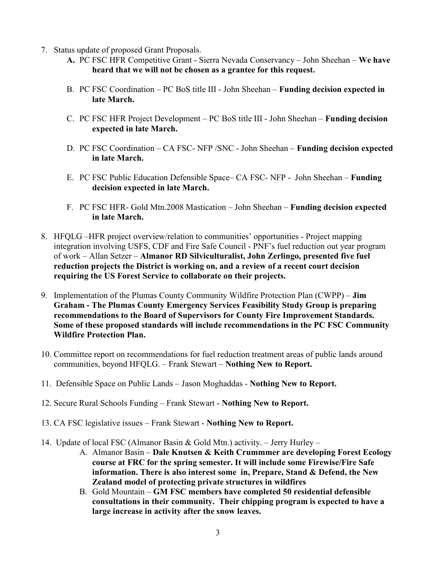- 7. Status update of proposed Grant Proposals.
	- A. PC FSC HFR Competitive Grant Sierra Nevada Conservancy John Sheehan We have heard that we will not be chosen as a grantee for this request.
	- B. PC FSC Coordination PC BoS title III John Sheehan Funding decision expected in late March.
	- C. PC FSC HFR Project Development PC BoS title III John Sheehan Funding decision expected in late March.
	- D. PC FSC Coordination CA FSC- NFP /SNC John Sheehan Funding decision expected in late March.
	- E. PC FSC Public Education Defensible Space– CA FSC- NFP John Sheehan Funding decision expected in late March.
	- F. PC FSC HFR- Gold Mtn.2008 Mastication John Sheehan Funding decision expected in late March.
- 8. HFQLG –HFR project overview/relation to communities' opportunities Project mapping integration involving USFS, CDF and Fire Safe Council - PNF's fuel reduction out year program of work – Allan Setzer – Almanor RD Silviculturalist, John Zerlingo, presented five fuel reduction projects the District is working on, and a review of a recent court decision requiring the US Forest Service to collaborate on their projects.
- 9. Implementation of the Plumas County Community Wildfire Protection Plan (CWPP) Jim Graham - The Plumas County Emergency Services Feasibility Study Group is preparing recommendations to the Board of Supervisors for County Fire Improvement Standards. Some of these proposed standards will include recommendations in the PC FSC Community Wildfire Protection Plan.
- 10. Committee report on recommendations for fuel reduction treatment areas of public lands around communities, beyond HFQLG. – Frank Stewart – Nothing New to Report.
- 11. Defensible Space on Public Lands Jason Moghaddas Nothing New to Report.
- 12. Secure Rural Schools Funding Frank Stewart Nothing New to Report.
- 13. CA FSC legislative issues Frank Stewart Nothing New to Report.
- 14. Update of local FSC (Almanor Basin & Gold Mtn.) activity. Jerry Hurley
	- A. Almanor Basin Dale Knutsen & Keith Crummmer are developing Forest Ecology course at FRC for the spring semester. It will include some Firewise/Fire Safe information. There is also interest some in, Prepare, Stand & Defend, the New Zealand model of protecting private structures in wildfires
	- B. Gold Mountain GM FSC members have completed 50 residential defensible consultations in their community. Their chipping program is expected to have a large increase in activity after the snow leaves.